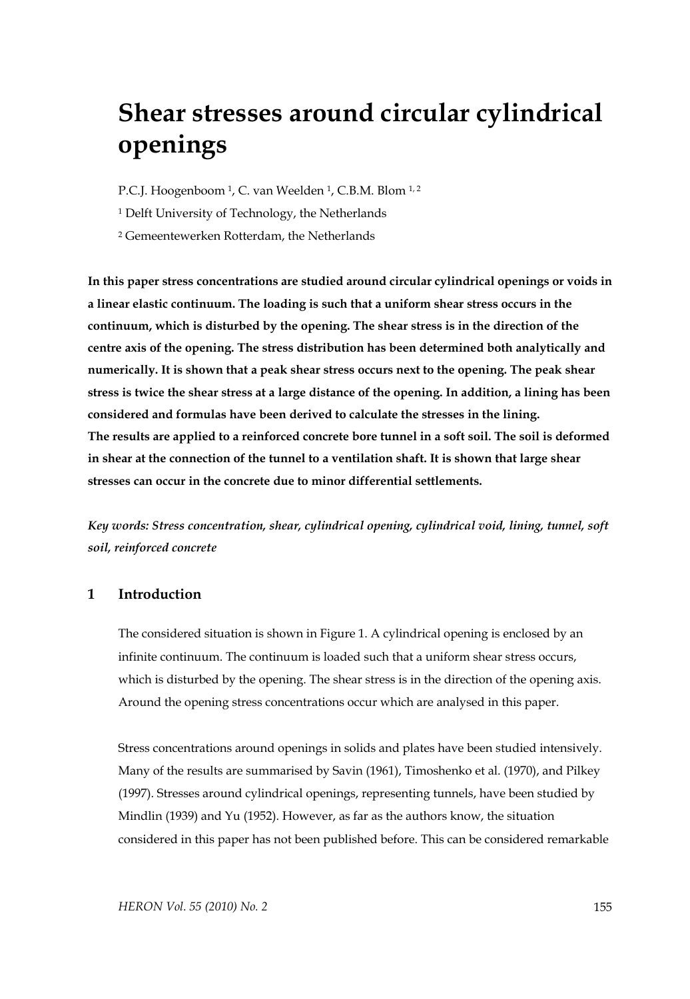# **Shear stresses around circular cylindrical openings**

P.C.J. Hoogenboom <sup>1</sup>, C. van Weelden <sup>1</sup>, C.B.M. Blom <sup>1, 2</sup>

<sup>1</sup> Delft University of Technology, the Netherlands

2 Gemeentewerken Rotterdam, the Netherlands

**In this paper stress concentrations are studied around circular cylindrical openings or voids in a linear elastic continuum. The loading is such that a uniform shear stress occurs in the continuum, which is disturbed by the opening. The shear stress is in the direction of the centre axis of the opening. The stress distribution has been determined both analytically and numerically. It is shown that a peak shear stress occurs next to the opening. The peak shear stress is twice the shear stress at a large distance of the opening. In addition, a lining has been considered and formulas have been derived to calculate the stresses in the lining. The results are applied to a reinforced concrete bore tunnel in a soft soil. The soil is deformed in shear at the connection of the tunnel to a ventilation shaft. It is shown that large shear stresses can occur in the concrete due to minor differential settlements.** 

*Key words: Stress concentration, shear, cylindrical opening, cylindrical void, lining, tunnel, soft soil, reinforced concrete* 

# **1 Introduction**

The considered situation is shown in Figure 1. A cylindrical opening is enclosed by an infinite continuum. The continuum is loaded such that a uniform shear stress occurs, which is disturbed by the opening. The shear stress is in the direction of the opening axis. Around the opening stress concentrations occur which are analysed in this paper.

Stress concentrations around openings in solids and plates have been studied intensively. Many of the results are summarised by Savin (1961), Timoshenko et al. (1970), and Pilkey (1997). Stresses around cylindrical openings, representing tunnels, have been studied by Mindlin (1939) and Yu (1952). However, as far as the authors know, the situation considered in this paper has not been published before. This can be considered remarkable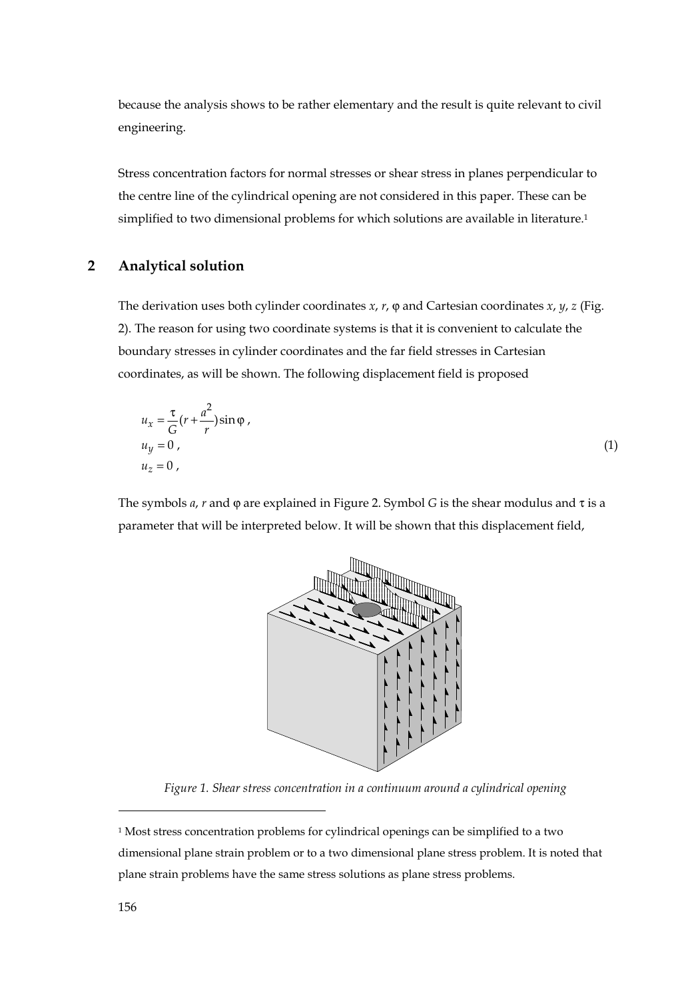because the analysis shows to be rather elementary and the result is quite relevant to civil engineering.

Stress concentration factors for normal stresses or shear stress in planes perpendicular to the centre line of the cylindrical opening are not considered in this paper. These can be simplified to two dimensional problems for which solutions are available in literature.1

# **2 Analytical solution**

The derivation uses both cylinder coordinates *x*, *r*, ϕ and Cartesian coordinates *x*, *y*, *z* (Fig. 2). The reason for using two coordinate systems is that it is convenient to calculate the boundary stresses in cylinder coordinates and the far field stresses in Cartesian coordinates, as will be shown. The following displacement field is proposed

$$
u_x = \frac{\tau}{G} (r + \frac{a^2}{r}) \sin \varphi ,
$$
  
\n
$$
u_y = 0 ,
$$
  
\n
$$
u_z = 0 ,
$$
\n(1)

The symbols *a*, *r* and ϕ are explained in Figure 2. Symbol *G* is the shear modulus and τ is a parameter that will be interpreted below. It will be shown that this displacement field,



*Figure 1. Shear stress concentration in a continuum around a cylindrical opening* 

 $\overline{a}$ 

<sup>&</sup>lt;sup>1</sup> Most stress concentration problems for cylindrical openings can be simplified to a two dimensional plane strain problem or to a two dimensional plane stress problem. It is noted that plane strain problems have the same stress solutions as plane stress problems.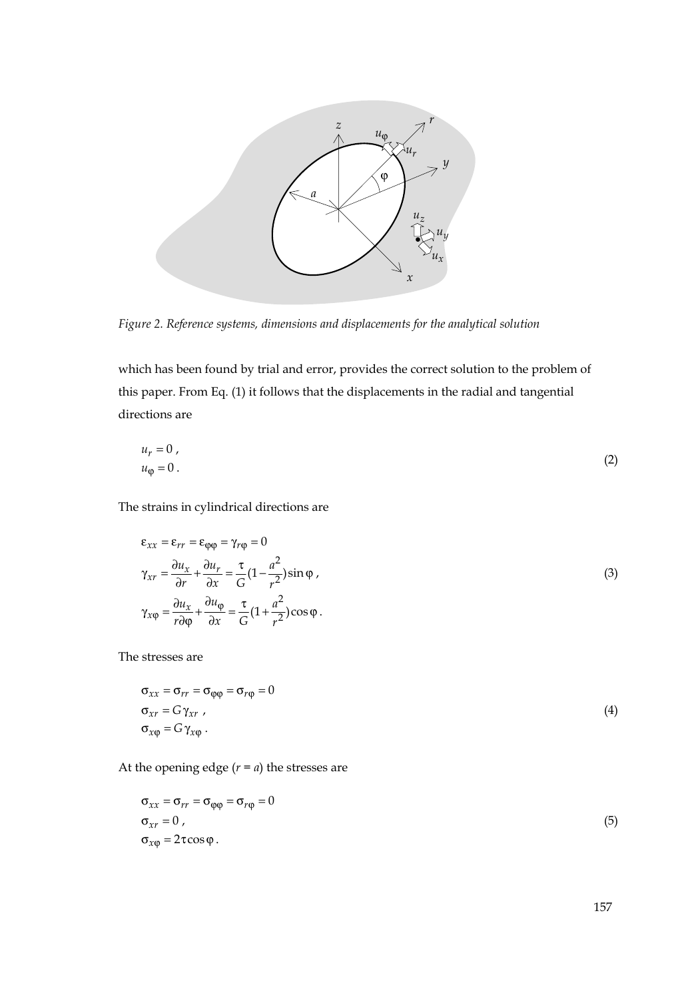

*Figure 2. Reference systems, dimensions and displacements for the analytical solution* 

which has been found by trial and error, provides the correct solution to the problem of this paper. From Eq. (1) it follows that the displacements in the radial and tangential directions are

$$
u_r = 0,
$$
  
\n
$$
u_{\varphi} = 0.
$$
\n(2)

The strains in cylindrical directions are

$$
\varepsilon_{xx} = \varepsilon_{rr} = \varepsilon_{\varphi\varphi} = \gamma_{r\varphi} = 0
$$
  
\n
$$
\gamma_{xr} = \frac{\partial u_x}{\partial r} + \frac{\partial u_r}{\partial x} = \frac{\tau}{G} \left( 1 - \frac{a^2}{r^2} \right) \sin \varphi ,
$$
  
\n
$$
\gamma_{x\varphi} = \frac{\partial u_x}{r \partial \varphi} + \frac{\partial u_\varphi}{\partial x} = \frac{\tau}{G} \left( 1 + \frac{a^2}{r^2} \right) \cos \varphi .
$$
  
\n(3)

The stresses are

$$
\begin{aligned}\n\sigma_{xx} &= \sigma_{rr} = \sigma_{\varphi\varphi} = \sigma_{r\varphi} = 0\\ \n\sigma_{xr} &= G\gamma_{xr},\\
\sigma_{x\varphi} &= G\gamma_{x\varphi}.\n\end{aligned} \tag{4}
$$

At the opening edge  $(r = a)$  the stresses are

$$
\sigma_{xx} = \sigma_{rr} = \sigma_{\varphi\varphi} = \sigma_{r\varphi} = 0
$$
  
\n
$$
\sigma_{xr} = 0,
$$
  
\n
$$
\sigma_{x\varphi} = 2\tau\cos\varphi.
$$
\n(5)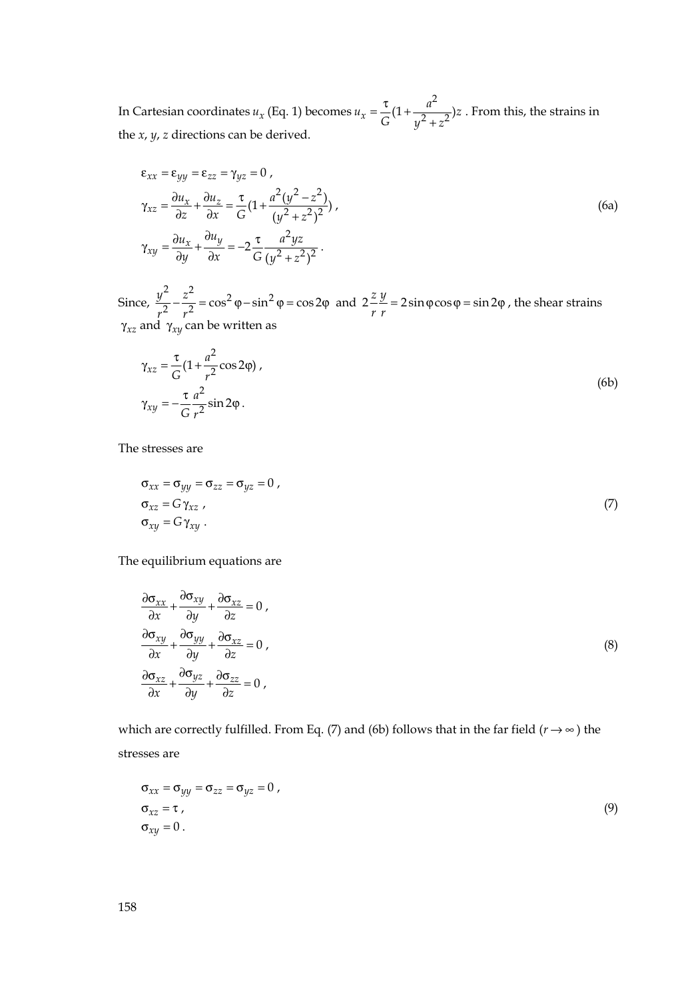In Cartesian coordinates *ux* (Eq. 1) becomes  $u_x = \frac{\tau}{G} (1 + \frac{a^2}{y^2 + z^2})z$ . From this, the strains in the *x*, *y*, *z* directions can be derived.

$$
\varepsilon_{xx} = \varepsilon_{yy} = \varepsilon_{zz} = \gamma_{yz} = 0 ,
$$
\n
$$
\gamma_{xz} = \frac{\partial u_x}{\partial z} + \frac{\partial u_z}{\partial x} = \frac{\tau}{G} \left( 1 + \frac{a^2 (y^2 - z^2)}{(y^2 + z^2)^2} \right),
$$
\n
$$
\gamma_{xy} = \frac{\partial u_x}{\partial y} + \frac{\partial u_y}{\partial x} = -2 \frac{\tau}{G} \frac{a^2 yz}{(y^2 + z^2)^2} .
$$
\n(6a)

Since,  $\frac{y^2}{r^2} - \frac{z^2}{r^2} = \cos^2 \varphi - \sin^2 \varphi = \cos 2\varphi$  and  $2\frac{z}{r}\frac{y}{r} = 2\sin \varphi \cos \varphi = \sin 2\varphi$ , the shear strains γ*xz* and γ*xy* can be written as

$$
\gamma_{xz} = \frac{\tau}{G} (1 + \frac{a^2}{r^2} \cos 2\varphi),
$$
  
\n
$$
\gamma_{xy} = -\frac{\tau}{G} \frac{a^2}{r^2} \sin 2\varphi.
$$
\n(6b)

The stresses are

$$
\begin{aligned}\n\sigma_{xx} &= \sigma_{yy} = \sigma_{zz} = \sigma_{yz} = 0, \\
\sigma_{xz} &= G \gamma_{xz}, \\
\sigma_{xy} &= G \gamma_{xy}.\n\end{aligned} (7)
$$

The equilibrium equations are

$$
\frac{\partial \sigma_{xx}}{\partial x} + \frac{\partial \sigma_{xy}}{\partial y} + \frac{\partial \sigma_{xz}}{\partial z} = 0,
$$
\n
$$
\frac{\partial \sigma_{xy}}{\partial x} + \frac{\partial \sigma_{yy}}{\partial y} + \frac{\partial \sigma_{xz}}{\partial z} = 0,
$$
\n
$$
\frac{\partial \sigma_{xz}}{\partial x} + \frac{\partial \sigma_{yz}}{\partial y} + \frac{\partial \sigma_{zz}}{\partial z} = 0,
$$
\n(8)

which are correctly fulfilled. From Eq. (7) and (6b) follows that in the far field ( $r \rightarrow \infty$ ) the stresses are

$$
\sigma_{xx} = \sigma_{yy} = \sigma_{zz} = \sigma_{yz} = 0,
$$
  
\n
$$
\sigma_{xz} = \tau,
$$
  
\n
$$
\sigma_{xy} = 0.
$$
\n(9)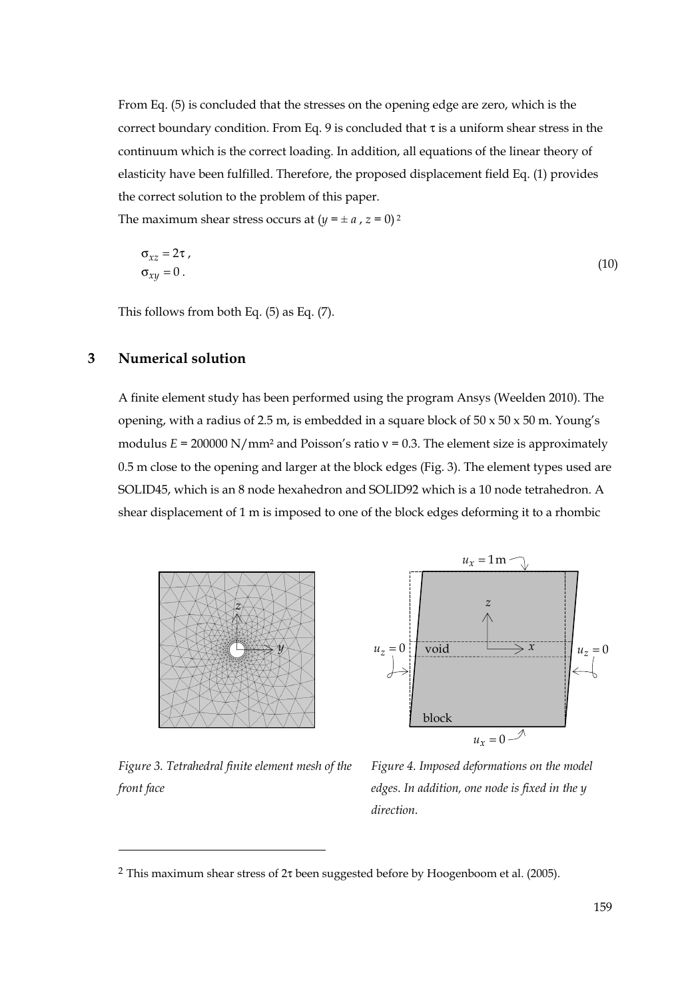From Eq. (5) is concluded that the stresses on the opening edge are zero, which is the correct boundary condition. From Eq. 9 is concluded that  $\tau$  is a uniform shear stress in the continuum which is the correct loading. In addition, all equations of the linear theory of elasticity have been fulfilled. Therefore, the proposed displacement field Eq. (1) provides the correct solution to the problem of this paper.

The maximum shear stress occurs at  $(y = \pm a, z = 0)^2$ 

$$
\sigma_{xz} = 2\tau, \n\sigma_{xy} = 0.
$$
\n(10)

This follows from both Eq. (5) as Eq. (7).

# **3 Numerical solution**

A finite element study has been performed using the program Ansys (Weelden 2010). The opening, with a radius of 2.5 m, is embedded in a square block of  $50 \times 50 \times 50$  m. Young's modulus *E* = 200000 N/mm<sup>2</sup> and Poisson's ratio ν = 0.3. The element size is approximately 0.5 m close to the opening and larger at the block edges (Fig. 3). The element types used are SOLID45, which is an 8 node hexahedron and SOLID92 which is a 10 node tetrahedron. A shear displacement of 1 m is imposed to one of the block edges deforming it to a rhombic



*z*  $u_r = 1$  m  $u_z = 0$   $\overrightarrow{v}$  **void**  $u_z = 0$  $u_r = 0$ void block

*Figure 3. Tetrahedral finite element mesh of the front face*

 $\overline{a}$ 

*Figure 4. Imposed deformations on the model edges. In addition, one node is fixed in the y direction.* 

<sup>&</sup>lt;sup>2</sup> This maximum shear stress of  $2\tau$  been suggested before by Hoogenboom et al. (2005).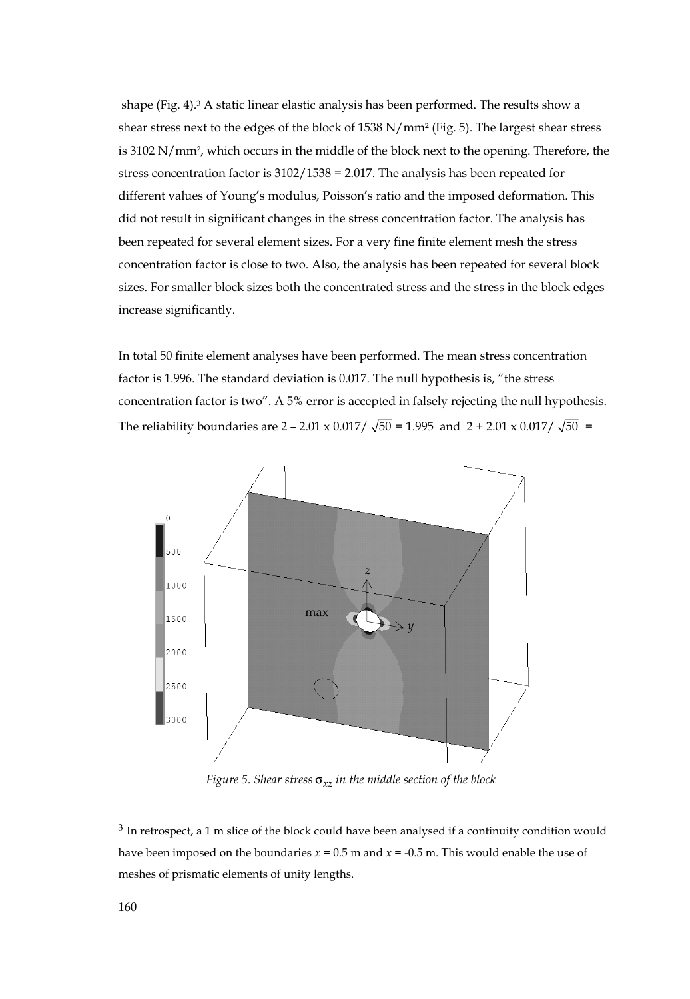shape (Fig. 4).3 A static linear elastic analysis has been performed. The results show a shear stress next to the edges of the block of 1538 N/mm² (Fig. 5). The largest shear stress is 3102 N/mm², which occurs in the middle of the block next to the opening. Therefore, the stress concentration factor is 3102/1538 = 2.017. The analysis has been repeated for different values of Young's modulus, Poisson's ratio and the imposed deformation. This did not result in significant changes in the stress concentration factor. The analysis has been repeated for several element sizes. For a very fine finite element mesh the stress concentration factor is close to two. Also, the analysis has been repeated for several block sizes. For smaller block sizes both the concentrated stress and the stress in the block edges increase significantly.

In total 50 finite element analyses have been performed. The mean stress concentration factor is 1.996. The standard deviation is 0.017. The null hypothesis is, "the stress concentration factor is two". A 5% error is accepted in falsely rejecting the null hypothesis. The reliability boundaries are 2 – 2.01 x 0.017/  $\sqrt{50}$  = 1.995 and 2 + 2.01 x 0.017/  $\sqrt{50}$  =



 *Figure 5. Shear stress* σ*xz in the middle section of the block* 

 $\overline{a}$ 

<sup>&</sup>lt;sup>3</sup> In retrospect, a 1 m slice of the block could have been analysed if a continuity condition would have been imposed on the boundaries  $x = 0.5$  m and  $x = -0.5$  m. This would enable the use of meshes of prismatic elements of unity lengths.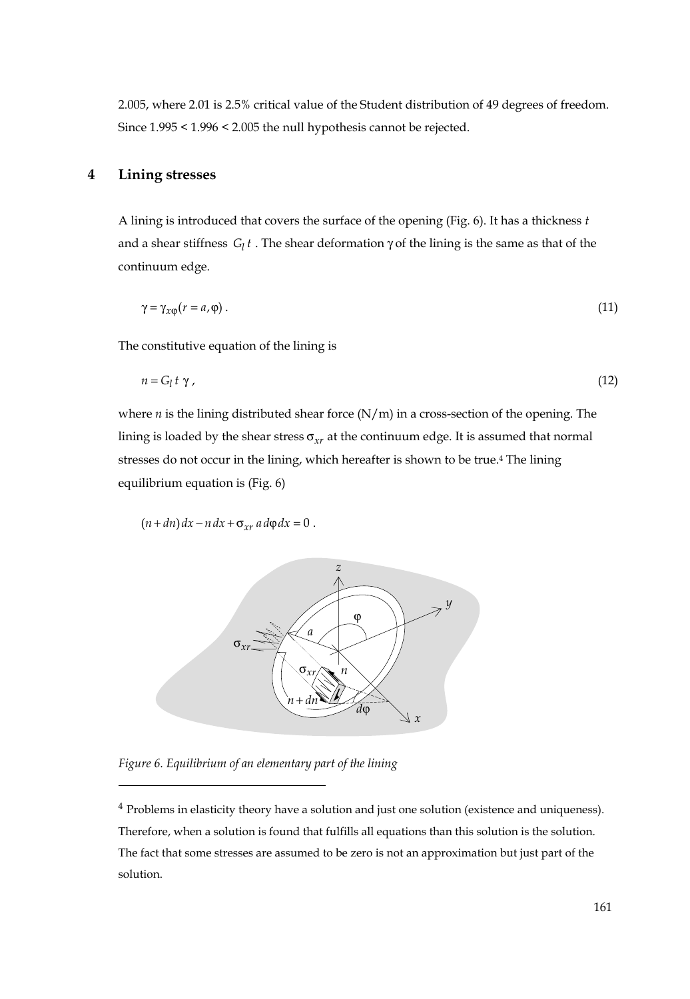2.005, where 2.01 is 2.5% critical value of the Student distribution of 49 degrees of freedom. Since 1.995 < 1.996 < 2.005 the null hypothesis cannot be rejected.

# **4 Lining stresses**

A lining is introduced that covers the surface of the opening (Fig. 6). It has a thickness *t* and a shear stiffness  $G_l t$ . The shear deformation  $\gamma$  of the lining is the same as that of the continuum edge.

$$
\gamma = \gamma_{x\phi}(r = a, \phi). \tag{11}
$$

The constitutive equation of the lining is

$$
n = G_l t \gamma, \tag{12}
$$

where *n* is the lining distributed shear force  $(N/m)$  in a cross-section of the opening. The lining is loaded by the shear stress σ*xr* at the continuum edge. It is assumed that normal stresses do not occur in the lining, which hereafter is shown to be true.<sup>4</sup> The lining equilibrium equation is (Fig. 6)

$$
(n+dn) dx - n dx + \sigma_{xr} a d\varphi dx = 0.
$$



*Figure 6. Equilibrium of an elementary part of the lining* 

 $\overline{a}$ 

<sup>4</sup> Problems in elasticity theory have a solution and just one solution (existence and uniqueness). Therefore, when a solution is found that fulfills all equations than this solution is the solution. The fact that some stresses are assumed to be zero is not an approximation but just part of the solution.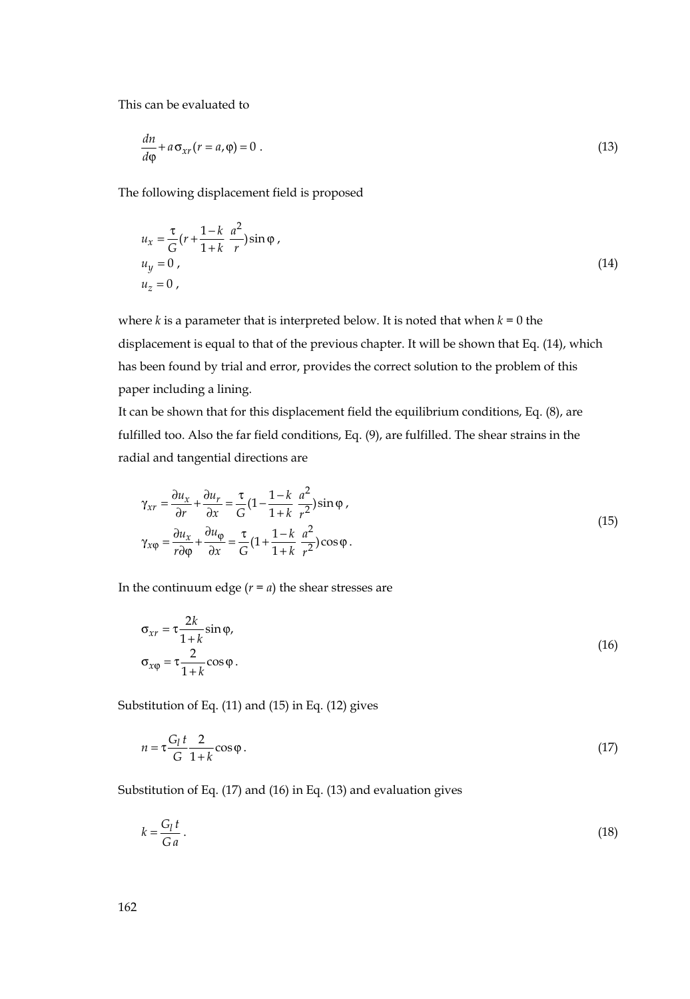This can be evaluated to

$$
\frac{dn}{d\varphi} + a\sigma_{xr}(r = a,\varphi) = 0.
$$
\n(13)

The following displacement field is proposed

$$
u_x = \frac{\tau}{G} (r + \frac{1-k}{1+k} \frac{a^2}{r}) \sin \varphi ,
$$
  
\n
$$
u_y = 0 ,
$$
  
\n
$$
u_z = 0 ,
$$
\n(14)

where  $k$  is a parameter that is interpreted below. It is noted that when  $k = 0$  the displacement is equal to that of the previous chapter. It will be shown that Eq. (14), which has been found by trial and error, provides the correct solution to the problem of this paper including a lining.

It can be shown that for this displacement field the equilibrium conditions, Eq. (8), are fulfilled too. Also the far field conditions, Eq. (9), are fulfilled. The shear strains in the radial and tangential directions are

$$
\gamma_{xr} = \frac{\partial u_x}{\partial r} + \frac{\partial u_r}{\partial x} = \frac{\tau}{G} \left( 1 - \frac{1 - k}{1 + k} \frac{a^2}{r^2} \right) \sin \varphi ,
$$
  
\n
$$
\gamma_{x\varphi} = \frac{\partial u_x}{r \partial \varphi} + \frac{\partial u_{\varphi}}{\partial x} = \frac{\tau}{G} \left( 1 + \frac{1 - k}{1 + k} \frac{a^2}{r^2} \right) \cos \varphi .
$$
\n(15)

In the continuum edge  $(r = a)$  the shear stresses are

$$
\sigma_{xr} = \tau \frac{2k}{1+k} \sin \varphi,
$$
  
\n
$$
\sigma_{x\varphi} = \tau \frac{2}{1+k} \cos \varphi.
$$
\n(16)

Substitution of Eq. (11) and (15) in Eq. (12) gives

$$
n = \tau \frac{G_l t}{G} \frac{2}{1+k} \cos \varphi \,. \tag{17}
$$

Substitution of Eq. (17) and (16) in Eq. (13) and evaluation gives

$$
k = \frac{G_l t}{G a} \,. \tag{18}
$$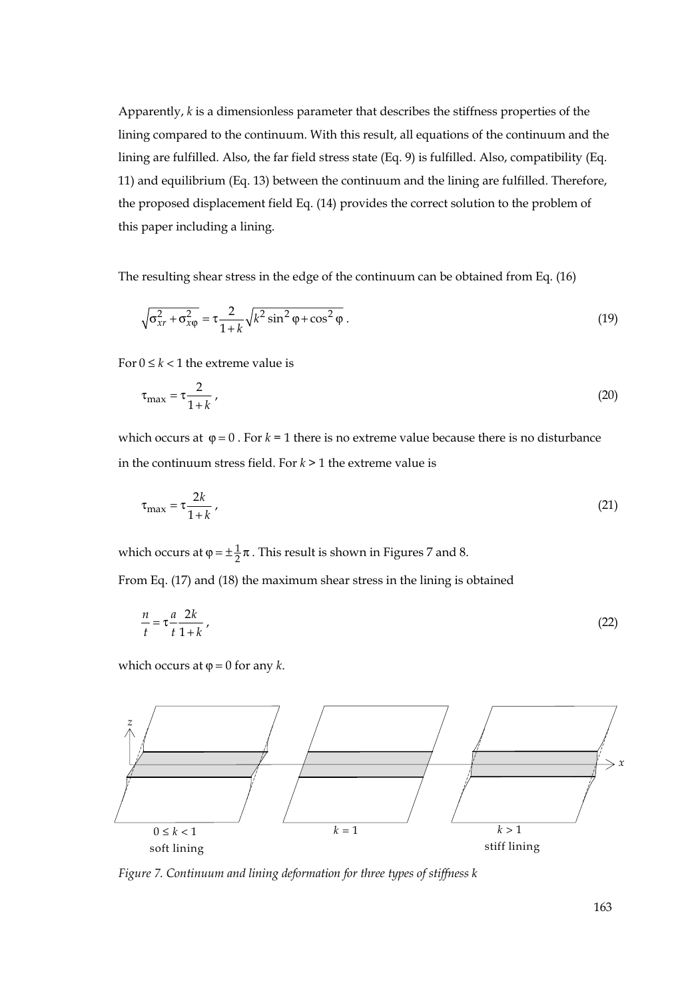Apparently, *k* is a dimensionless parameter that describes the stiffness properties of the lining compared to the continuum. With this result, all equations of the continuum and the lining are fulfilled. Also, the far field stress state (Eq. 9) is fulfilled. Also, compatibility (Eq. 11) and equilibrium (Eq. 13) between the continuum and the lining are fulfilled. Therefore, the proposed displacement field Eq. (14) provides the correct solution to the problem of this paper including a lining.

The resulting shear stress in the edge of the continuum can be obtained from Eq. (16)

$$
\sqrt{\sigma_{xr}^2 + \sigma_{x\varphi}^2} = \tau \frac{2}{1+k} \sqrt{k^2 \sin^2 \varphi + \cos^2 \varphi} \,. \tag{19}
$$

For  $0 \le k < 1$  the extreme value is

$$
\tau_{\text{max}} = \tau \frac{2}{1+k} \tag{20}
$$

which occurs at  $\varphi = 0$ . For  $k = 1$  there is no extreme value because there is no disturbance in the continuum stress field. For *k* > 1 the extreme value is

$$
\tau_{\text{max}} = \tau \frac{2k}{1+k} \,,\tag{21}
$$

which occurs at  $\varphi = \pm \frac{1}{2}\pi$ . This result is shown in Figures 7 and 8.

From Eq. (17) and (18) the maximum shear stress in the lining is obtained

$$
\frac{n}{t} = \tau \frac{a}{t} \frac{2k}{1+k} \,,\tag{22}
$$

which occurs at  $\varphi = 0$  for any *k*.



*Figure 7. Continuum and lining deformation for three types of stiffness k*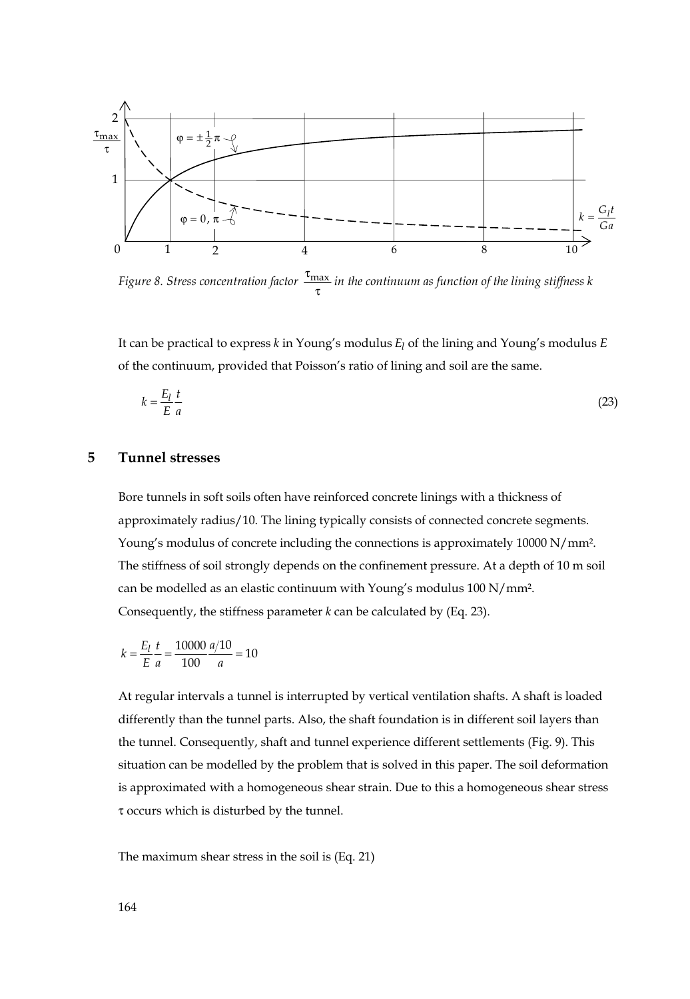

*Figure 8. Stress concentration factor*  $\frac{\tau_{\text{max}}}{\tau}$  *in the continuum as function of the lining stiffness k* 

It can be practical to express *k* in Young's modulus *El* of the lining and Young's modulus *E* of the continuum, provided that Poisson's ratio of lining and soil are the same.

$$
k = \frac{E_l}{E} \frac{t}{a} \tag{23}
$$

#### **5 Tunnel stresses**

Bore tunnels in soft soils often have reinforced concrete linings with a thickness of approximately radius/10. The lining typically consists of connected concrete segments. Young's modulus of concrete including the connections is approximately 10000 N/mm². The stiffness of soil strongly depends on the confinement pressure. At a depth of 10 m soil can be modelled as an elastic continuum with Young's modulus 100 N/mm². Consequently, the stiffness parameter *k* can be calculated by (Eq. 23).

$$
k = \frac{E_l}{E_a} \frac{t}{a} = \frac{10000}{100} \frac{a/10}{a} = 10
$$

At regular intervals a tunnel is interrupted by vertical ventilation shafts. A shaft is loaded differently than the tunnel parts. Also, the shaft foundation is in different soil layers than the tunnel. Consequently, shaft and tunnel experience different settlements (Fig. 9). This situation can be modelled by the problem that is solved in this paper. The soil deformation is approximated with a homogeneous shear strain. Due to this a homogeneous shear stress τ occurs which is disturbed by the tunnel.

The maximum shear stress in the soil is (Eq. 21)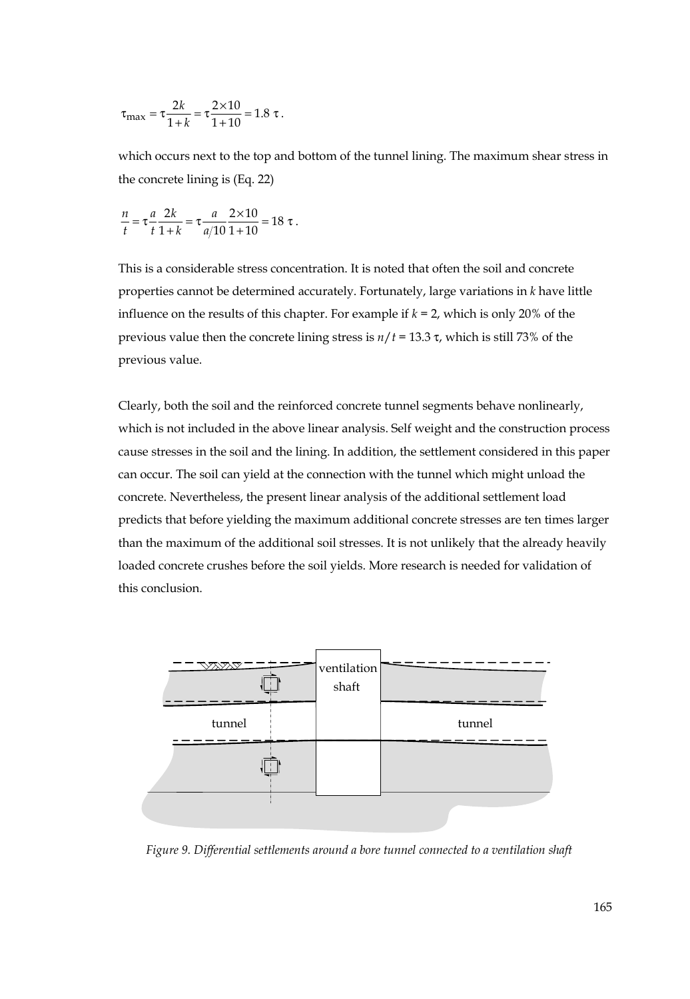$$
\tau_{\text{max}} = \tau \frac{2k}{1+k} = \tau \frac{2 \times 10}{1+10} = 1.8 \tau.
$$

which occurs next to the top and bottom of the tunnel lining. The maximum shear stress in the concrete lining is (Eq. 22)

$$
\frac{n}{t} = \tau \frac{a}{t} \frac{2k}{1+k} = \tau \frac{a}{a/10} \frac{2 \times 10}{1+10} = 18 \tau.
$$

This is a considerable stress concentration. It is noted that often the soil and concrete properties cannot be determined accurately. Fortunately, large variations in *k* have little influence on the results of this chapter. For example if  $k = 2$ , which is only 20% of the previous value then the concrete lining stress is *n*/*t* = 13.3 τ, which is still 73% of the previous value.

Clearly, both the soil and the reinforced concrete tunnel segments behave nonlinearly, which is not included in the above linear analysis. Self weight and the construction process cause stresses in the soil and the lining. In addition, the settlement considered in this paper can occur. The soil can yield at the connection with the tunnel which might unload the concrete. Nevertheless, the present linear analysis of the additional settlement load predicts that before yielding the maximum additional concrete stresses are ten times larger than the maximum of the additional soil stresses. It is not unlikely that the already heavily loaded concrete crushes before the soil yields. More research is needed for validation of this conclusion.



 *Figure 9. Differential settlements around a bore tunnel connected to a ventilation shaft*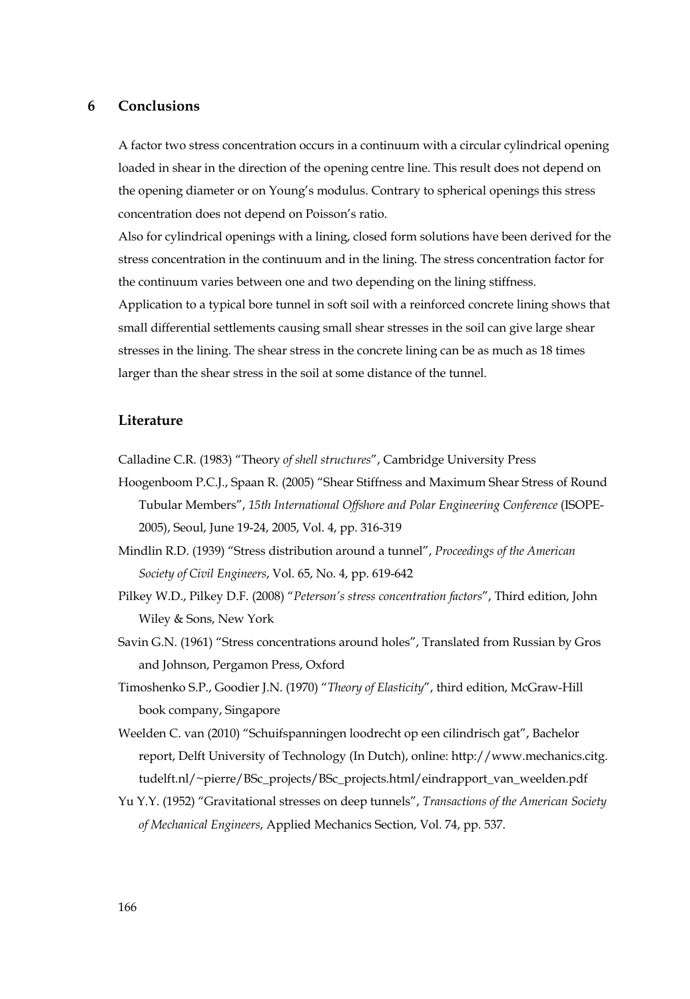#### **6 Conclusions**

A factor two stress concentration occurs in a continuum with a circular cylindrical opening loaded in shear in the direction of the opening centre line. This result does not depend on the opening diameter or on Young's modulus. Contrary to spherical openings this stress concentration does not depend on Poisson's ratio.

Also for cylindrical openings with a lining, closed form solutions have been derived for the stress concentration in the continuum and in the lining. The stress concentration factor for the continuum varies between one and two depending on the lining stiffness.

Application to a typical bore tunnel in soft soil with a reinforced concrete lining shows that small differential settlements causing small shear stresses in the soil can give large shear stresses in the lining. The shear stress in the concrete lining can be as much as 18 times larger than the shear stress in the soil at some distance of the tunnel.

#### **Literature**

Calladine C.R. (1983) "Theory *of shell structures*", Cambridge University Press

- Hoogenboom P.C.J., Spaan R. (2005) "Shear Stiffness and Maximum Shear Stress of Round Tubular Members", *15th International Offshore and Polar Engineering Conference* (ISOPE-2005), Seoul, June 19-24, 2005, Vol. 4, pp. 316-319
- Mindlin R.D. (1939) "Stress distribution around a tunnel", *Proceedings of the American Society of Civil Engineers*, Vol. 65, No. 4, pp. 619-642
- Pilkey W.D., Pilkey D.F. (2008) "*Peterson's stress concentration factors*", Third edition, John Wiley & Sons, New York
- Savin G.N. (1961) "Stress concentrations around holes", Translated from Russian by Gros and Johnson, Pergamon Press, Oxford
- Timoshenko S.P., Goodier J.N. (1970) "*Theory of Elasticity*", third edition, McGraw-Hill book company, Singapore
- Weelden C. van (2010) "Schuifspanningen loodrecht op een cilindrisch gat", Bachelor report, Delft University of Technology (In Dutch), online: http://www.mechanics.citg. tudelft.nl/~pierre/BSc\_projects/BSc\_projects.html/eindrapport\_van\_weelden.pdf
- Yu Y.Y. (1952) "Gravitational stresses on deep tunnels", *Transactions of the American Society of Mechanical Engineers*, Applied Mechanics Section, Vol. 74, pp. 537.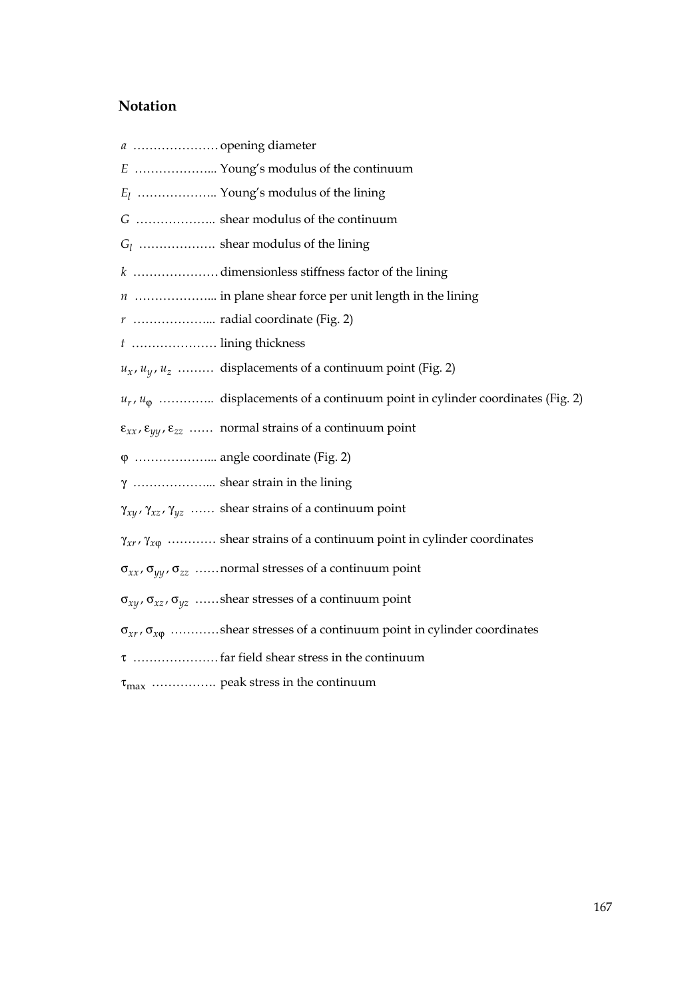# **Notation**

| E  Young's modulus of the continuum                                                                       |
|-----------------------------------------------------------------------------------------------------------|
| $E_l$ Young's modulus of the lining                                                                       |
| G  shear modulus of the continuum                                                                         |
| $G_l$ shear modulus of the lining                                                                         |
| k dimensionless stiffness factor of the lining                                                            |
| $n$ in plane shear force per unit length in the lining                                                    |
|                                                                                                           |
| t  lining thickness                                                                                       |
| $u_x$ , $u_y$ , $u_z$ displacements of a continuum point (Fig. 2)                                         |
| $u_r$ , $u_\phi$ displacements of a continuum point in cylinder coordinates (Fig. 2)                      |
| $\varepsilon_{xx}$ , $\varepsilon_{yy}$ , $\varepsilon_{zz}$ normal strains of a continuum point          |
|                                                                                                           |
| $\gamma$ shear strain in the lining                                                                       |
| $\gamma_{xy}$ , $\gamma_{xz}$ , $\gamma_{yz}$ shear strains of a continuum point                          |
| $\gamma_{xr}, \gamma_{x\phi}$ shear strains of a continuum point in cylinder coordinates                  |
| $\sigma_{xx}$ , $\sigma_{yy}$ , $\sigma_{zz}$ normal stresses of a continuum point                        |
| $\sigma_{xy}$ , $\sigma_{xz}$ , $\sigma_{yz}$ ……shear stresses of a continuum point                       |
| $\sigma_{\text{xr}\,}, \sigma_{\text{x}\phi}$ shear stresses of a continuum point in cylinder coordinates |
|                                                                                                           |
| $\tau_{\text{max}}$ peak stress in the continuum                                                          |